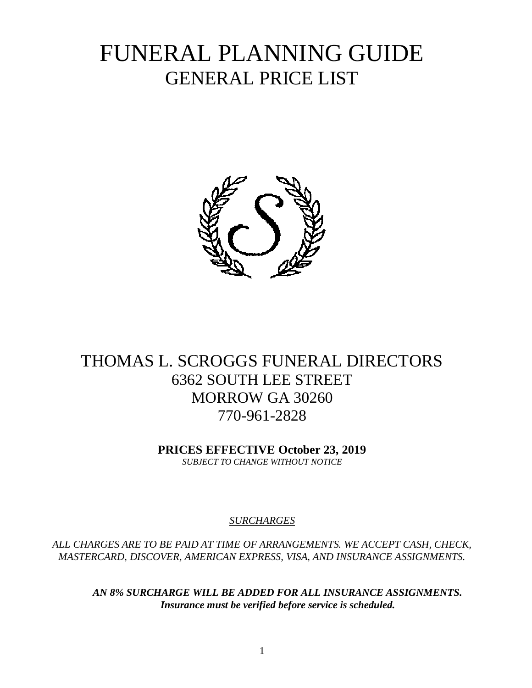# FUNERAL PLANNING GUIDE GENERAL PRICE LIST



# THOMAS L. SCROGGS FUNERAL DIRECTORS 6362 SOUTH LEE STREET MORROW GA 30260 770-961-2828

**PRICES EFFECTIVE October 23, 2019** *SUBJECT TO CHANGE WITHOUT NOTICE*

#### *SURCHARGES*

*ALL CHARGES ARE TO BE PAID AT TIME OF ARRANGEMENTS. WE ACCEPT CASH, CHECK, MASTERCARD, DISCOVER, AMERICAN EXPRESS, VISA, AND INSURANCE ASSIGNMENTS.*

*AN 8% SURCHARGE WILL BE ADDED FOR ALL INSURANCE ASSIGNMENTS. Insurance must be verified before service is scheduled.*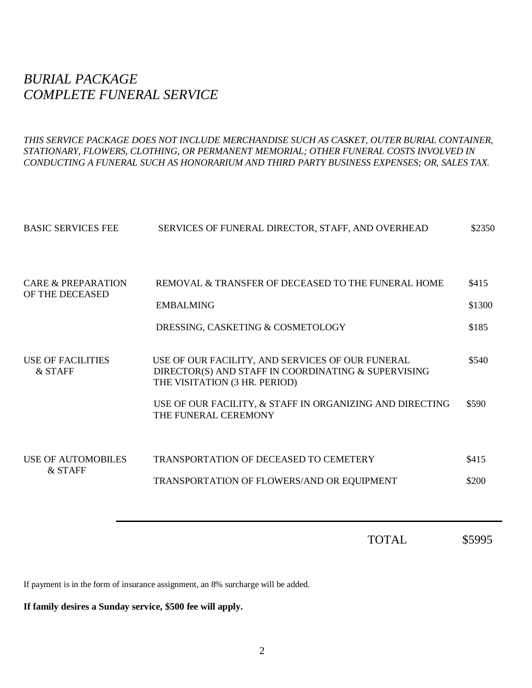# *BURIAL PACKAGE COMPLETE FUNERAL SERVICE*

*THIS SERVICE PACKAGE DOES NOT INCLUDE MERCHANDISE SUCH AS CASKET, OUTER BURIAL CONTAINER, STATIONARY, FLOWERS, CLOTHING, OR PERMANENT MEMORIAL; OTHER FUNERAL COSTS INVOLVED IN CONDUCTING A FUNERAL SUCH AS HONORARIUM AND THIRD PARTY BUSINESS EXPENSES; OR, SALES TAX.*

| <b>BASIC SERVICES FEE</b>             | SERVICES OF FUNERAL DIRECTOR, STAFF, AND OVERHEAD                                                                                        | \$2350          |
|---------------------------------------|------------------------------------------------------------------------------------------------------------------------------------------|-----------------|
| CARE & PREPARATION<br>OF THE DECEASED | REMOVAL & TRANSFER OF DECEASED TO THE FUNERAL HOME<br><b>EMBALMING</b>                                                                   | \$415<br>\$1300 |
|                                       | DRESSING, CASKETING & COSMETOLOGY                                                                                                        | \$185           |
| USE OF FACILITIES<br>& STAFF          | USE OF OUR FACILITY, AND SERVICES OF OUR FUNERAL<br>DIRECTOR(S) AND STAFF IN COORDINATING & SUPERVISING<br>THE VISITATION (3 HR. PERIOD) | \$540           |
|                                       | USE OF OUR FACILITY, & STAFF IN ORGANIZING AND DIRECTING<br>THE FUNERAL CEREMONY                                                         | \$590           |
| <b>USE OF AUTOMOBILES</b><br>& STAFF  | <b>TRANSPORTATION OF DECEASED TO CEMETERY</b>                                                                                            | \$415           |
|                                       | TRANSPORTATION OF FLOWERS/AND OR EQUIPMENT                                                                                               | \$200           |
|                                       |                                                                                                                                          |                 |

TOTAL \$5995

If payment is in the form of insurance assignment, an 8% surcharge will be added.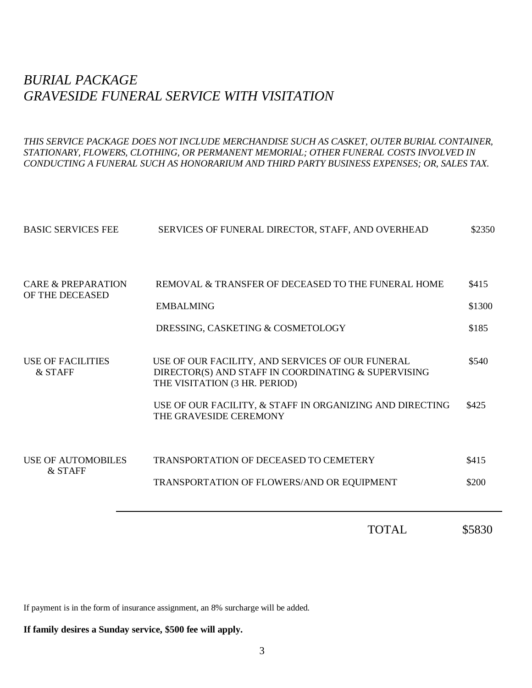# *BURIAL PACKAGE GRAVESIDE FUNERAL SERVICE WITH VISITATION*

*THIS SERVICE PACKAGE DOES NOT INCLUDE MERCHANDISE SUCH AS CASKET, OUTER BURIAL CONTAINER, STATIONARY, FLOWERS, CLOTHING, OR PERMANENT MEMORIAL; OTHER FUNERAL COSTS INVOLVED IN CONDUCTING A FUNERAL SUCH AS HONORARIUM AND THIRD PARTY BUSINESS EXPENSES; OR, SALES TAX.*

|                                      | <b>TOTAL</b>                                                                                                                             | \$5830 |
|--------------------------------------|------------------------------------------------------------------------------------------------------------------------------------------|--------|
|                                      | TRANSPORTATION OF FLOWERS/AND OR EQUIPMENT                                                                                               | \$200  |
| <b>USE OF AUTOMOBILES</b><br>& STAFF | <b>TRANSPORTATION OF DECEASED TO CEMETERY</b>                                                                                            | \$415  |
|                                      | USE OF OUR FACILITY, & STAFF IN ORGANIZING AND DIRECTING<br>THE GRAVESIDE CEREMONY                                                       | \$425  |
| USE OF FACILITIES<br>& STAFF         | USE OF OUR FACILITY, AND SERVICES OF OUR FUNERAL<br>DIRECTOR(S) AND STAFF IN COORDINATING & SUPERVISING<br>THE VISITATION (3 HR. PERIOD) | \$540  |
|                                      | DRESSING, CASKETING & COSMETOLOGY                                                                                                        | \$185  |
| OF THE DECEASED                      | <b>EMBALMING</b>                                                                                                                         | \$1300 |
| CARE & PREPARATION                   | REMOVAL & TRANSFER OF DECEASED TO THE FUNERAL HOME                                                                                       | \$415  |
| <b>BASIC SERVICES FEE</b>            | SERVICES OF FUNERAL DIRECTOR, STAFF, AND OVERHEAD                                                                                        | \$2350 |

If payment is in the form of insurance assignment, an 8% surcharge will be added.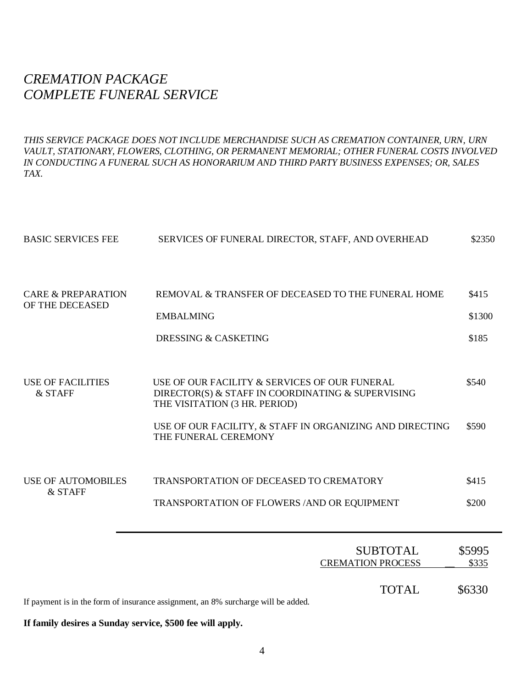# *CREMATION PACKAGE COMPLETE FUNERAL SERVICE*

*THIS SERVICE PACKAGE DOES NOT INCLUDE MERCHANDISE SUCH AS CREMATION CONTAINER, URN, URN*  VAULT, STATIONARY, FLOWERS, CLOTHING, OR PERMANENT MEMORIAL; OTHER FUNERAL COSTS INVOLVED *IN CONDUCTING A FUNERAL SUCH AS HONORARIUM AND THIRD PARTY BUSINESS EXPENSES; OR, SALES TAX.*

| <b>BASIC SERVICES FEE</b>                        | SERVICES OF FUNERAL DIRECTOR, STAFF, AND OVERHEAD                                                                                   | \$2350          |
|--------------------------------------------------|-------------------------------------------------------------------------------------------------------------------------------------|-----------------|
|                                                  |                                                                                                                                     |                 |
| <b>CARE &amp; PREPARATION</b><br>OF THE DECEASED | REMOVAL & TRANSFER OF DECEASED TO THE FUNERAL HOME                                                                                  | \$415           |
|                                                  | <b>EMBALMING</b>                                                                                                                    | \$1300          |
|                                                  | <b>DRESSING &amp; CASKETING</b>                                                                                                     | \$185           |
|                                                  |                                                                                                                                     |                 |
| <b>USE OF FACILITIES</b><br>& STAFF              | USE OF OUR FACILITY & SERVICES OF OUR FUNERAL<br>DIRECTOR(S) & STAFF IN COORDINATING & SUPERVISING<br>THE VISITATION (3 HR. PERIOD) | \$540           |
|                                                  | USE OF OUR FACILITY, & STAFF IN ORGANIZING AND DIRECTING<br>THE FUNERAL CEREMONY                                                    | \$590           |
| <b>USE OF AUTOMOBILES</b>                        | <b>TRANSPORTATION OF DECEASED TO CREMATORY</b>                                                                                      | \$415           |
| & STAFF                                          | TRANSPORTATION OF FLOWERS / AND OR EQUIPMENT                                                                                        | \$200           |
|                                                  |                                                                                                                                     |                 |
|                                                  | <b>SUBTOTAL</b><br><b>CREMATION PROCESS</b>                                                                                         | \$5995<br>\$335 |
|                                                  |                                                                                                                                     |                 |
|                                                  | <b>TOTAL</b><br>If payment is in the form of insurance assignment, an 8% surcharge will be added.                                   | \$6330          |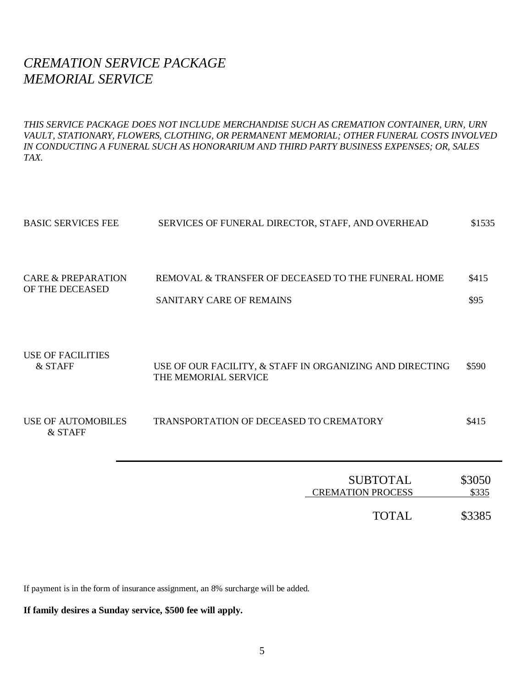### *CREMATION SERVICE PACKAGE MEMORIAL SERVICE*

*THIS SERVICE PACKAGE DOES NOT INCLUDE MERCHANDISE SUCH AS CREMATION CONTAINER, URN, URN*  VAULT, STATIONARY, FLOWERS, CLOTHING, OR PERMANENT MEMORIAL; OTHER FUNERAL COSTS INVOLVED *IN CONDUCTING A FUNERAL SUCH AS HONORARIUM AND THIRD PARTY BUSINESS EXPENSES; OR, SALES TAX.*

| <b>BASIC SERVICES FEE</b>             | SERVICES OF FUNERAL DIRECTOR, STAFF, AND OVERHEAD                                | \$1535          |
|---------------------------------------|----------------------------------------------------------------------------------|-----------------|
| CARE & PREPARATION<br>OF THE DECEASED | REMOVAL & TRANSFER OF DECEASED TO THE FUNERAL HOME<br>SANITARY CARE OF REMAINS   | \$415<br>\$95   |
| <b>USE OF FACILITIES</b><br>& STAFF   | USE OF OUR FACILITY, & STAFF IN ORGANIZING AND DIRECTING<br>THE MEMORIAL SERVICE | \$590           |
| USE OF AUTOMOBILES<br>& STAFF         | TRANSPORTATION OF DECEASED TO CREMATORY                                          | \$415           |
|                                       | <b>SUBTOTAL</b><br><b>CREMATION PROCESS</b>                                      | \$3050<br>\$335 |

TOTAL \$3385

If payment is in the form of insurance assignment, an 8% surcharge will be added.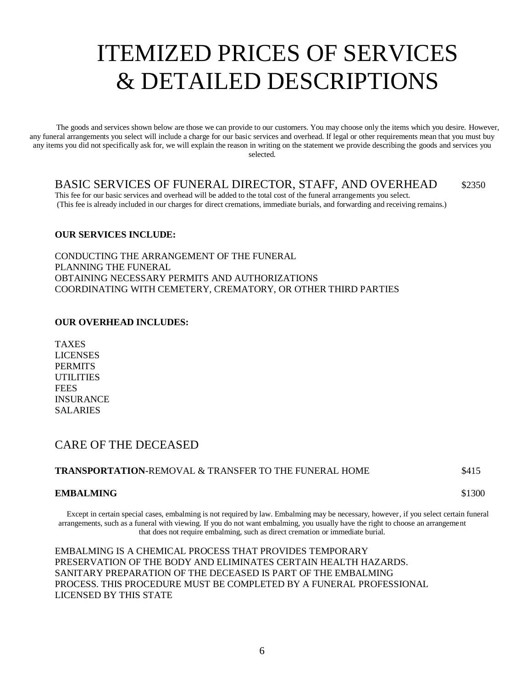# ITEMIZED PRICES OF SERVICES & DETAILED DESCRIPTIONS

The goods and services shown below are those we can provide to our customers. You may choose only the items which you desire. However, any funeral arrangements you select will include a charge for our basic services and overhead. If legal or other requirements mean that you must buy any items you did not specifically ask for, we will explain the reason in writing on the statement we provide describing the goods and services you selected.

#### BASIC SERVICES OF FUNERAL DIRECTOR, STAFF, AND OVERHEAD \$2350

This fee for our basic services and overhead will be added to the total cost of the funeral arrangements you select. (This fee is already included in our charges for direct cremations, immediate burials, and forwarding and receiving remains.)

#### **OUR SERVICES INCLUDE:**

CONDUCTING THE ARRANGEMENT OF THE FUNERAL PLANNING THE FUNERAL OBTAINING NECESSARY PERMITS AND AUTHORIZATIONS COORDINATING WITH CEMETERY, CREMATORY, OR OTHER THIRD PARTIES

#### **OUR OVERHEAD INCLUDES:**

TAXES LICENSES **PERMITS** UTILITIES **FEES** INSURANCE SALARIES

#### CARE OF THE DECEASED

#### **TRANSPORTATION**-REMOVAL & TRANSFER TO THE FUNERAL HOME \$415

#### **EMBALMING** \$1300

Except in certain special cases, embalming is not required by law. Embalming may be necessary, however, if you select certain funeral arrangements, such as a funeral with viewing. If you do not want embalming, you usually have the right to choose an arrangement that does not require embalming, such as direct cremation or immediate burial.

EMBALMING IS A CHEMICAL PROCESS THAT PROVIDES TEMPORARY PRESERVATION OF THE BODY AND ELIMINATES CERTAIN HEALTH HAZARDS. SANITARY PREPARATION OF THE DECEASED IS PART OF THE EMBALMING PROCESS. THIS PROCEDURE MUST BE COMPLETED BY A FUNERAL PROFESSIONAL LICENSED BY THIS STATE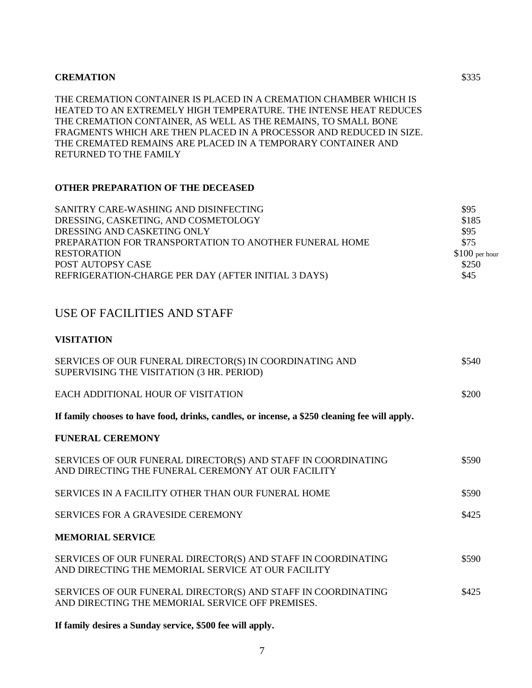THE CREMATION CONTAINER IS PLACED IN A CREMATION CHAMBER WHICH IS HEATED TO AN EXTREMELY HIGH TEMPERATURE. THE INTENSE HEAT REDUCES THE CREMATION CONTAINER, AS WELL AS THE REMAINS, TO SMALL BONE FRAGMENTS WHICH ARE THEN PLACED IN A PROCESSOR AND REDUCED IN SIZE. THE CREMATED REMAINS ARE PLACED IN A TEMPORARY CONTAINER AND RETURNED TO THE FAMILY

#### **OTHER PREPARATION OF THE DECEASED**

| SANITRY CARE-WASHING AND DISINFECTING                  | \$95            |
|--------------------------------------------------------|-----------------|
| DRESSING, CASKETING, AND COSMETOLOGY                   | \$185           |
| DRESSING AND CASKETING ONLY                            | \$95            |
| PREPARATION FOR TRANSPORTATION TO ANOTHER FUNERAL HOME | \$75            |
| <b>RESTORATION</b>                                     | $$100$ per hour |
| POST AUTOPSY CASE                                      | \$250           |
| REFRIGERATION-CHARGE PER DAY (AFTER INITIAL 3 DAYS)    | \$45            |

#### USE OF FACILITIES AND STAFF

#### **VISITATION**

| SERVICES OF OUR FUNERAL DIRECTOR(S) IN COORDINATING AND<br>SUPERVISING THE VISITATION (3 HR. PERIOD)                | \$540 |
|---------------------------------------------------------------------------------------------------------------------|-------|
| EACH ADDITIONAL HOUR OF VISITATION                                                                                  | \$200 |
| If family chooses to have food, drinks, candles, or incense, a \$250 cleaning fee will apply.                       |       |
| <b>FUNERAL CEREMONY</b>                                                                                             |       |
| SERVICES OF OUR FUNERAL DIRECTOR(S) AND STAFF IN COORDINATING<br>AND DIRECTING THE FUNERAL CEREMONY AT OUR FACILITY | \$590 |
| SERVICES IN A FACILITY OTHER THAN OUR FUNERAL HOME                                                                  | \$590 |
| <b>SERVICES FOR A GRAVESIDE CEREMONY</b>                                                                            | \$425 |
| <b>MEMORIAL SERVICE</b>                                                                                             |       |
| SERVICES OF OUR FUNERAL DIRECTOR(S) AND STAFF IN COORDINATING<br>AND DIRECTING THE MEMORIAL SERVICE AT OUR FACILITY | \$590 |
| SERVICES OF OUR FUNERAL DIRECTOR(S) AND STAFF IN COORDINATING<br>AND DIRECTING THE MEMORIAL SERVICE OFF PREMISES.   | \$425 |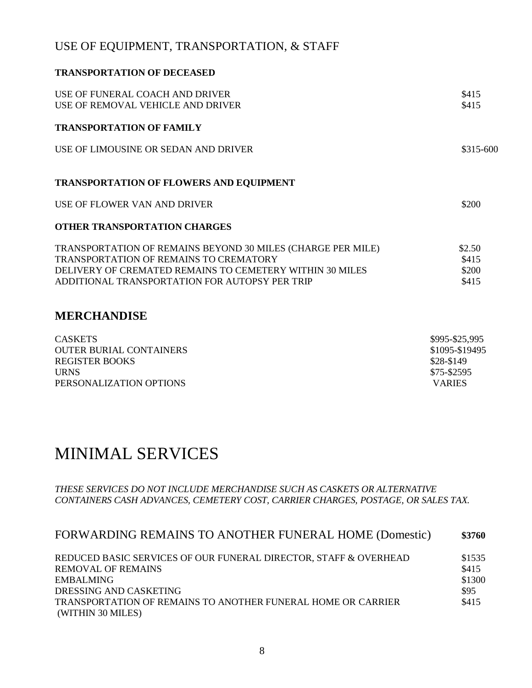### USE OF EQUIPMENT, TRANSPORTATION, & STAFF

| <b>TRANSPORTATION OF DECEASED</b>                                                                                                                                                                                          |                                   |
|----------------------------------------------------------------------------------------------------------------------------------------------------------------------------------------------------------------------------|-----------------------------------|
| USE OF FUNERAL COACH AND DRIVER<br>USE OF REMOVAL VEHICLE AND DRIVER                                                                                                                                                       | \$415<br>\$415                    |
| <b>TRANSPORTATION OF FAMILY</b>                                                                                                                                                                                            |                                   |
| USE OF LIMOUSINE OR SEDAN AND DRIVER                                                                                                                                                                                       | \$315-600                         |
| <b>TRANSPORTATION OF FLOWERS AND EQUIPMENT</b>                                                                                                                                                                             |                                   |
| USE OF FLOWER VAN AND DRIVER                                                                                                                                                                                               | \$200                             |
| <b>OTHER TRANSPORTATION CHARGES</b>                                                                                                                                                                                        |                                   |
| TRANSPORTATION OF REMAINS BEYOND 30 MILES (CHARGE PER MILE)<br><b>TRANSPORTATION OF REMAINS TO CREMATORY</b><br>DELIVERY OF CREMATED REMAINS TO CEMETERY WITHIN 30 MILES<br>ADDITIONAL TRANSPORTATION FOR AUTOPSY PER TRIP | \$2.50<br>\$415<br>\$200<br>\$415 |
| <b>MERCHANDISE</b>                                                                                                                                                                                                         |                                   |

| <b>CASKETS</b>                 | \$995-\$25,995 |
|--------------------------------|----------------|
| <b>OUTER BURIAL CONTAINERS</b> | \$1095-\$19495 |
| <b>REGISTER BOOKS</b>          | \$28-\$149     |
| <b>URNS</b>                    | \$75-\$2595    |
| PERSONALIZATION OPTIONS        | <b>VARIES</b>  |

# MINIMAL SERVICES

#### *THESE SERVICES DO NOT INCLUDE MERCHANDISE SUCH AS CASKETS OR ALTERNATIVE CONTAINERS CASH ADVANCES, CEMETERY COST, CARRIER CHARGES, POSTAGE, OR SALES TAX.*

| FORWARDING REMAINS TO ANOTHER FUNERAL HOME (Domestic)            | \$3760 |
|------------------------------------------------------------------|--------|
| REDUCED BASIC SERVICES OF OUR FUNERAL DIRECTOR, STAFF & OVERHEAD | \$1535 |
| <b>REMOVAL OF REMAINS</b>                                        | \$415  |
| <b>EMBALMING</b>                                                 | \$1300 |
| DRESSING AND CASKETING                                           | \$95   |
| TRANSPORTATION OF REMAINS TO ANOTHER FUNERAL HOME OR CARRIER     | \$415  |
| (WITHIN 30 MILES)                                                |        |